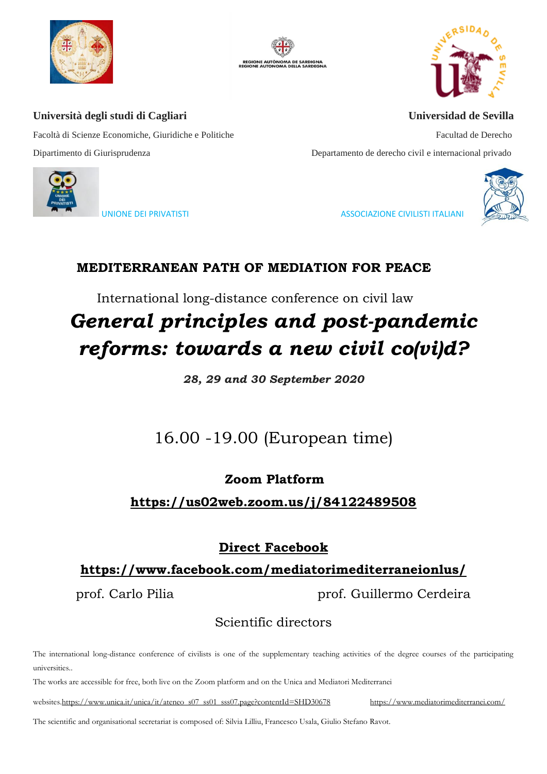







Facoltà di Scienze Economiche, Giuridiche e Politiche Facultad de Derecho Dipartimento di Giurisprudenza Departamento de derecho civil e internacional privado



UNIONE DEI PRIVATISTI ASSOCIAZIONE CIVILISTI ITALIANI

## **MEDITERRANEAN PATH OF MEDIATION FOR PEACE**

International long-distance conference on civil law

# *General principles and post-pandemic reforms: towards a new civil co(vi)d?*

*28, 29 and 30 September 2020*

## 16.00 -19.00 (European time)

## **Zoom Platform**

**<https://us02web.zoom.us/j/84122489508>**

## **Direct Facebook**

## **<https://www.facebook.com/mediatorimediterraneionlus/>**

prof. Carlo Pilia **prof.** Guillermo Cerdeira

## Scientific directors

The international long-distance conference of civilists is one of the supplementary teaching activities of the degree courses of the participating universities..

The works are accessible for free, both live on the Zoom platform and on the Unica and Mediatori Mediterranei

website[s.https://www.unica.it/unica/it/ateneo\\_s07\\_ss01\\_sss07.page?contentId=SHD30678](https://www.unica.it/unica/it/ateneo_s07_ss01_sss07.page?contentId=SHD30678) <https://www.mediatorimediterranei.com/>

The scientific and organisational secretariat is composed of: Silvia Lilliu, Francesco Usala, Giulio Stefano Ravot.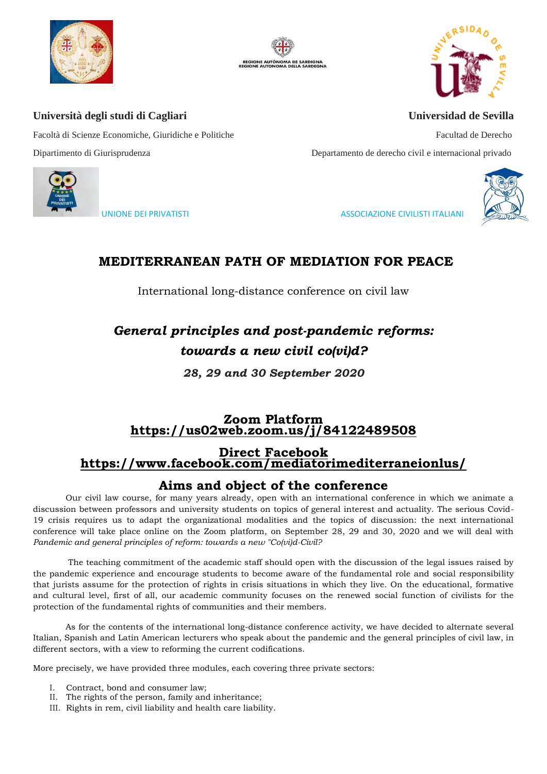







Facoltà di Scienze Economiche, Giuridiche e Politiche Facultad de Derecho Dipartimento di Giurisprudenza Departamento de derecho civil e internacional privado



UNIONE DEI PRIVATISTI ASSOCIAZIONE CIVILISTI ITALIANI

## **MEDITERRANEAN PATH OF MEDIATION FOR PEACE**

International long-distance conference on civil law

## *General principles and post-pandemic reforms: towards a new civil co(vi)d?*

*28, 29 and 30 September 2020*

## **Zoom Platform <https://us02web.zoom.us/j/84122489508>**

## **Direct Facebook <https://www.facebook.com/mediatorimediterraneionlus/>**

## **Aims and object of the conference**

Our civil law course, for many years already, open with an international conference in which we animate a discussion between professors and university students on topics of general interest and actuality. The serious Covid-19 crisis requires us to adapt the organizational modalities and the topics of discussion: the next international conference will take place online on the Zoom platform, on September 28, 29 and 30, 2020 and we will deal with *Pandemic and general principles of reform: towards a new "Co(vi)d-Civil?*

The teaching commitment of the academic staff should open with the discussion of the legal issues raised by the pandemic experience and encourage students to become aware of the fundamental role and social responsibility that jurists assume for the protection of rights in crisis situations in which they live. On the educational, formative and cultural level, first of all, our academic community focuses on the renewed social function of civilists for the protection of the fundamental rights of communities and their members.

As for the contents of the international long-distance conference activity, we have decided to alternate several Italian, Spanish and Latin American lecturers who speak about the pandemic and the general principles of civil law, in different sectors, with a view to reforming the current codifications.

More precisely, we have provided three modules, each covering three private sectors:

- I. Contract, bond and consumer law;
- II. The rights of the person, family and inheritance;
- III. Rights in rem, civil liability and health care liability.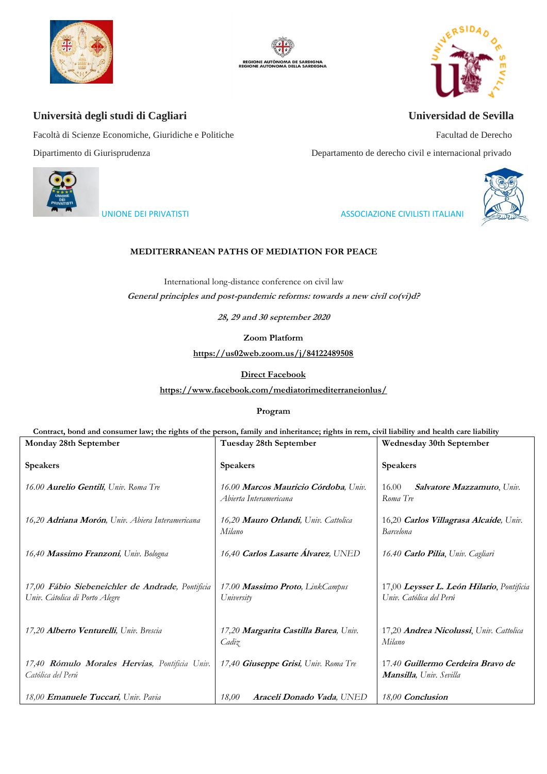







Facoltà di Scienze Economiche, Giuridiche e Politiche Facultad de Derecho Dipartimento di Giurisprudenza Departamento de derecho civil e internacional privado



#### UNIONE DEI PRIVATISTI ASSOCIAZIONE CIVILISTI ITALIANI



#### **MEDITERRANEAN PATHS OF MEDIATION FOR PEACE**

International long-distance conference on civil law **General principles and post-pandemic reforms: towards a new civil co(vi)d?** 

**28, 29 and 30 september 2020**

**Zoom Platform**

**<https://us02web.zoom.us/j/84122489508>**

**Direct Facebook**

**<https://www.facebook.com/mediatorimediterraneionlus/>**

**Program**

**Contract, bond and consumer law; the rights of the person, family and inheritance; rights in rem, civil liability and health care liability**

| Monday 28th September                                                              | Tuesday 28th September                                         | Wednesday 30th September                                             |
|------------------------------------------------------------------------------------|----------------------------------------------------------------|----------------------------------------------------------------------|
| <b>Speakers</b>                                                                    | <b>Speakers</b>                                                | <b>Speakers</b>                                                      |
| 16.00 Aurelio Gentili, Univ. Roma Tre                                              | 16.00 Marcos Mauricio Córdoba, Univ.<br>Abierta Interamericana | Salvatore Mazzamuto, Univ.<br>16.00<br>Roma Tre                      |
| 16,20 Adriana Morón, Univ. Abiera Interamericana                                   | 16,20 Mauro Orlandi, Univ. Cattolica<br>Milano                 | 16,20 Carlos Villagrasa Alcaide, Univ.<br>Barcelona                  |
| 16,40 Massimo Franzoni, Univ. Bologna                                              | 16,40 Carlos Lasarte Álvarez, UNED                             | 16.40 <b>Carlo Pilia</b> , Univ. Cagliari                            |
| 17,00 Fábio Siebeneichler de Andrade, Pontificia<br>Univ. Cátolica di Porto Alegre | 17.00 Massimo Proto, LinkCampus<br>University                  | 17,00 Leysser L. León Hilario, Pontificia<br>Univ. Católica del Perú |
| 17,20 Alberto Venturelli, Univ. Brescia                                            | 17,20 Margarita Castilla Barea, Univ.<br>Cadiz                 | 17,20 Andrea Nicolussi, Univ. Cattolica<br>Milano                    |
| 17,40 Rómulo Morales Hervias, Pontificia Univ.<br>Católica del Perú                | 17,40 Giuseppe Grisi, Univ. Roma Tre                           | 17.40 Guillermo Cerdeira Bravo de<br><b>Mansilla</b> , Univ. Sevilla |
| 18,00 Emanuele Tuccari, Univ. Pavia                                                | Araceli Donado Vada, UNED<br>18,00                             | 18,00 Conclusion                                                     |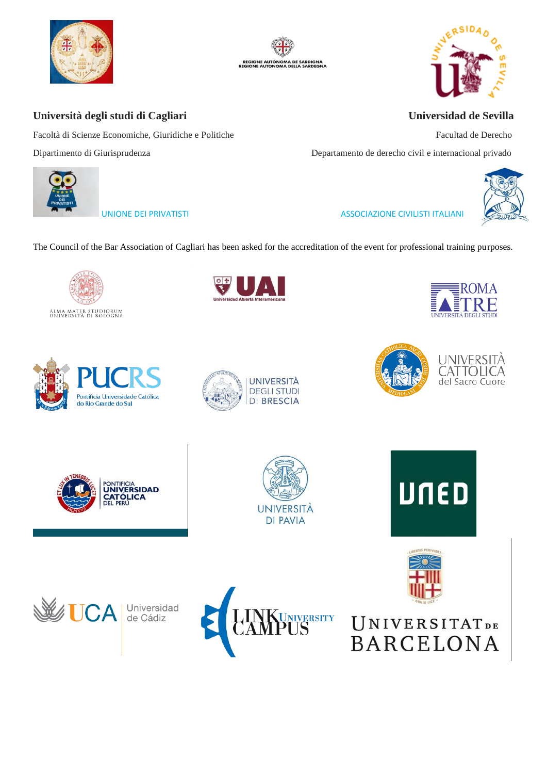









Facoltà di Scienze Economiche, Giuridiche e Politiche Facultad de Derecho Dipartimento di Giurisprudenza Departamento de derecho civil e internacional privado



UNIONE DEI PRIVATISTI ASSOCIAZIONE CIVILISTI ITALIANI

The Council of the Bar Association of Cagliari has been asked for the accreditation of the event for professional training purposes.























 $\mathbb{R}$ 

 $\overline{1}$